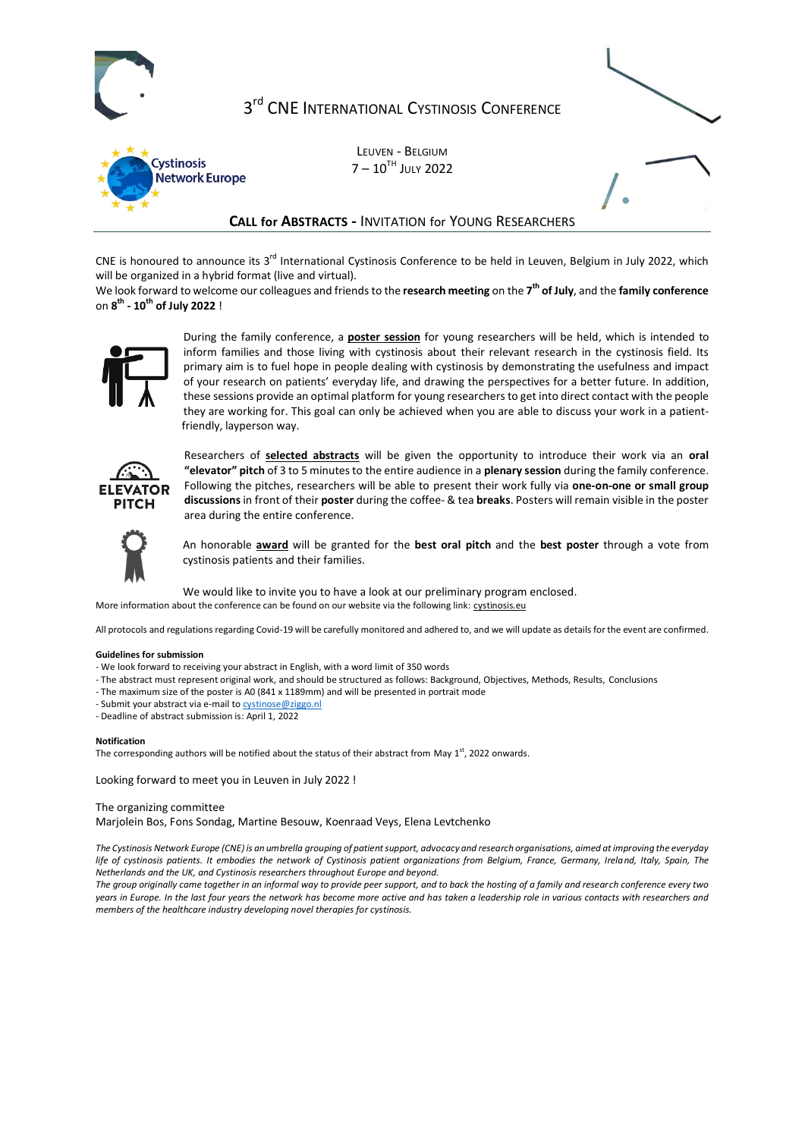

# 3<sup>rd</sup> CNE International Cystinosis Conference



LEUVEN - BELGIUM  $7 - 10^{TH}$  July 2022

## **CALL for ABSTRACTS -** INVITATION for YOUNG RESEARCHERS

CNE is honoured to announce its 3<sup>rd</sup> International Cystinosis Conference to be held in Leuven, Belgium in July 2022, which will be organized in a hybrid format (live and virtual).

We look forward to welcome our colleagues and friends to the **research meeting** on the **7 th of July**, and the **family conference** on **8 th - 10th of July 2022** !



During the family conference, a **poster session** for young researchers will be held, which is intended to inform families and those living with cystinosis about their relevant research in the cystinosis field. Its primary aim is to fuel hope in people dealing with cystinosis by demonstrating the usefulness and impact of your research on patients' everyday life, and drawing the perspectives for a better future. In addition, these sessions provide an optimal platform for young researchers to get into direct contact with the people they are working for. This goal can only be achieved when you are able to discuss your work in a patientfriendly, layperson way.



Researchers of **selected abstracts** will be given the opportunity to introduce their work via an **oral "elevator" pitch** of 3 to 5 minutes to the entire audience in a **plenary session** during the family conference. Following the pitches, researchers will be able to present their work fully via **one-on-one or small group discussions**in front of their **poster** during the coffee- & tea **breaks**. Posters will remain visible in the poster area during the entire conference.



An honorable **award** will be granted for the **best oral pitch** and the **best poster** through a vote from cystinosis patients and their families.

We would like to invite you to have a look at our preliminary program enclosed.

More information about the conference can be found on our website via the following link: cystinosis.eu

All protocols and regulations regarding Covid-19 will be carefully monitored and adhered to, and we will update as details for the event are confirmed.

#### **Guidelines for submission**

- We look forward to receiving your abstract in English, with a word limit of 350 words
- The abstract must represent original work, and should be structured as follows: Background, Objectives, Methods, Results, Conclusions
- The maximum size of the poster is A0 (841 x 1189mm) and will be presented in portrait mode
- Submit your abstract via e-mail t[o cystinose@ziggo.nl](mailto:cystinose@ziggo.nl)
- Deadline of abstract submission is: April 1, 2022

#### **Notification**

The corresponding authors will be notified about the status of their abstract from May 1st, 2022 onwards.

Looking forward to meet you in Leuven in July 2022 !

### The organizing committee

Marjolein Bos, Fons Sondag, Martine Besouw, Koenraad Veys, Elena Levtchenko

*The Cystinosis Network Europe (CNE) is an umbrella grouping of patient support, advocacy and research organisations, aimed at improving the everyday life of cystinosis patients. It embodies the network of Cystinosis patient organizations from Belgium, France, Germany, Ireland, Italy, Spain, The Netherlands and the UK, and Cystinosis researchers throughout Europe and beyond.* 

*The group originally came together in an informal way to provide peer support, and to back the hosting of a family and research conference every two years in Europe. In the last four years the network has become more active and has taken a leadership role in various contacts with researchers and members of the healthcare industry developing novel therapies for cystinosis.*